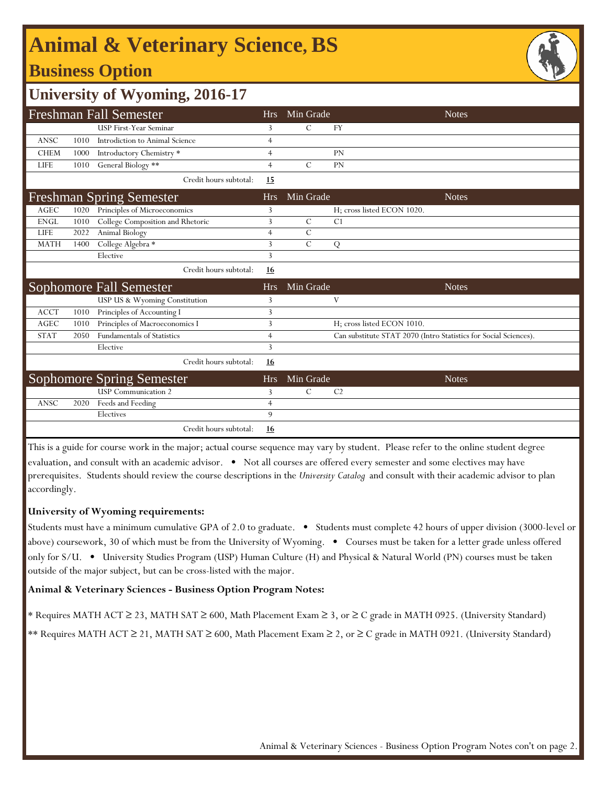# **Animal & Veterinary Science, BS**

### **Business Option**



### **University of Wyoming, 2016-17**

|             |      | <b>Freshman Fall Semester</b>     | <b>Hrs</b>     | Min Grade     | <b>Notes</b>                                                     |
|-------------|------|-----------------------------------|----------------|---------------|------------------------------------------------------------------|
|             |      | USP First-Year Seminar            | 3              | $\mathcal{C}$ | <b>FY</b>                                                        |
| <b>ANSC</b> | 1010 | Introdiction to Animal Science    | $\overline{4}$ |               |                                                                  |
| <b>CHEM</b> | 1000 |                                   | $\overline{4}$ |               | <b>PN</b>                                                        |
|             |      | Introductory Chemistry *          |                |               |                                                                  |
| <b>LIFE</b> | 1010 | General Biology **                | $\overline{4}$ | $\mathcal{C}$ | PN                                                               |
|             |      | Credit hours subtotal:            | 15             |               |                                                                  |
|             |      | <b>Freshman Spring Semester</b>   | <b>Hrs</b>     | Min Grade     | <b>Notes</b>                                                     |
| <b>AGEC</b> | 1020 | Principles of Microeconomics      | 3              |               | H; cross listed ECON 1020.                                       |
| <b>ENGL</b> | 1010 | College Composition and Rhetoric  | 3              | $\mathcal{C}$ | C1                                                               |
| <b>LIFE</b> | 2022 | Animal Biology                    | $\overline{4}$ | $\mathcal{C}$ |                                                                  |
| <b>MATH</b> | 1400 | College Algebra *                 | 3              | $\mathcal{C}$ | Q                                                                |
|             |      | Elective                          | 3              |               |                                                                  |
|             |      | Credit hours subtotal:            | 16             |               |                                                                  |
|             |      | Sophomore Fall Semester           | <b>Hrs</b>     | Min Grade     | <b>Notes</b>                                                     |
|             |      | USP US & Wyoming Constitution     | 3              |               | V                                                                |
| <b>ACCT</b> | 1010 | Principles of Accounting I        | 3              |               |                                                                  |
| <b>AGEC</b> | 1010 | Principles of Macroeconomics I    | 3              |               | H; cross listed ECON 1010.                                       |
| <b>STAT</b> | 2050 | <b>Fundamentals of Statistics</b> | $\overline{4}$ |               | Can substitute STAT 2070 (Intro Statistics for Social Sciences). |
|             |      | Elective                          | 3              |               |                                                                  |
|             |      | Credit hours subtotal:            | 16             |               |                                                                  |
|             |      | <b>Sophomore Spring Semester</b>  | <b>Hrs</b>     | Min Grade     | <b>Notes</b>                                                     |
|             |      | <b>USP</b> Communication 2        | 3              | $\mathcal{C}$ | C <sub>2</sub>                                                   |
| ANSC        | 2020 | Feeds and Feeding                 | $\overline{4}$ |               |                                                                  |
|             |      | Electives                         | 9              |               |                                                                  |
|             |      | Credit hours subtotal:            | 16             |               |                                                                  |

This is a guide for course work in the major; actual course sequence may vary by student. Please refer to the online student degree evaluation, and consult with an academic advisor. • Not all courses are offered every semester and some electives may have prerequisites. Students should review the course descriptions in the *University Catalog* and consult with their academic advisor to plan accordingly.

#### **University of Wyoming requirements:**

Students must have a minimum cumulative GPA of 2.0 to graduate. • Students must complete 42 hours of upper division (3000-level or above) coursework, 30 of which must be from the University of Wyoming. • Courses must be taken for a letter grade unless offered only for S/U. • University Studies Program (USP) Human Culture (H) and Physical & Natural World (PN) courses must be taken outside of the major subject, but can be cross-listed with the major.

#### **Animal & Veterinary Sciences - Business Option Program Notes:**

\* Requires MATH ACT ≥ 23, MATH SAT ≥ 600, Math Placement Exam ≥ 3, or ≥ C grade in MATH 0925. (University Standard)

\*\* Requires MATH ACT ≥ 21, MATH SAT ≥ 600, Math Placement Exam ≥ 2, or ≥ C grade in MATH 0921. (University Standard)